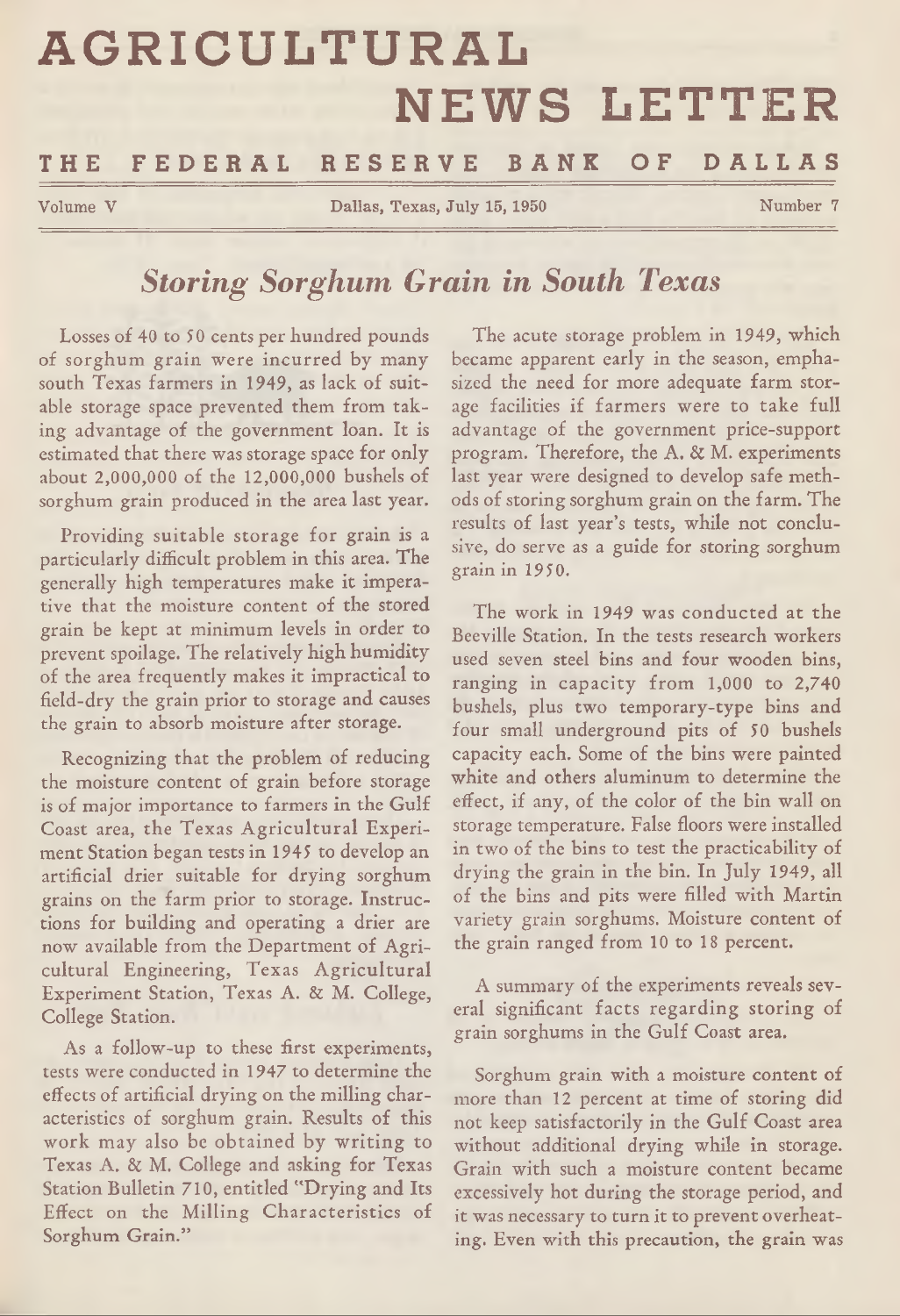# **AGRICULTURAL** NEWS LETTER

# **THE F E D E R A L R E S E R V E B A N K OF D A L L A S**

Volume V Dallas, Texas, July 15, 1950 Number 7

# *Storing Sorghum Grain in South Texas*

Losses of 40 to 50 cents per hundred pounds of sorghum grain were incurred by many south Texas farmers in 1949, as lack of suitable storage space prevented them from taking advantage of the government loan. It is estimated that there was storage space for only about 2,000,000 of the 12,000,000 bushels of sorghum grain produced in the area last year.

Providing suitable storage for grain is a particularly difficult problem in this area. The generally high temperatures make it imperative that the moisture content of the stored grain be kept at minimum levels in order to prevent spoilage. The relatively high humidity of the area frequently makes it impractical to field-dry the grain prior to storage and causes the grain to absorb moisture after storage.

Recognizing that the problem of reducing the moisture content of grain before storage is of major importance to farmers in the Gulf Coast area, the Texas Agricultural Experiment Station began tests in 1945 to develop an artificial drier suitable for drying sorghum grains on the farm prior to storage. Instructions for building and operating a drier are now available from the Department of Agricultural Engineering, Texas Agricultural Experiment Station, Texas A. & M. College, College Station.

As a follow-up to these first experiments, tests were conducted in 1947 to determine the effects of artificial drying on the milling characteristics of sorghum grain. Results of this work may also be obtained by writing to Texas A. & M. College and asking for Texas Station Bulletin 710, entitled "Drying and Its Effect on the Milling Characteristics of Sorghum Grain."

The acute storage problem in 1949, which became apparent early in the season, emphasized the need for more adequate farm storage facilities if farmers were to take full advantage of the government price-support program. Therefore, the A. & M. experiments last year were designed to develop safe methods of storing sorghum grain on the farm. The results of last year's tests, while not conclusive, do serve as a guide for storing sorghum grain in 1950.

The work in 1949 was conducted at the Beeville Station. In the tests research workers used seven steel bins and four wooden bins, ranging in capacity from 1,000 to 2,740 bushels, plus two temporary-type bins and four small underground pits of 50 bushels capacity each. Some of the bins were painted white and others aluminum to determine the effect, if any, of the color of the bin wall on storage temperature. False floors were installed in two of the bins to test the practicability of drying the grain in the bin. In July 1949, all of the bins and pits were filled with Martin variety grain sorghums. Moisture content of the grain ranged from 10 to 18 percent.

A summary of the experiments reveals several significant facts regarding storing of grain sorghums in the Gulf Coast area.

Sorghum grain with a moisture content of more than 12 percent at time of storing did not keep satisfactorily in the Gulf Coast area without additional drying while in storage. Grain with such a moisture content became excessively hot during the storage period, and it was necessary to turn it to prevent overheating. Even with this precaution, the grain was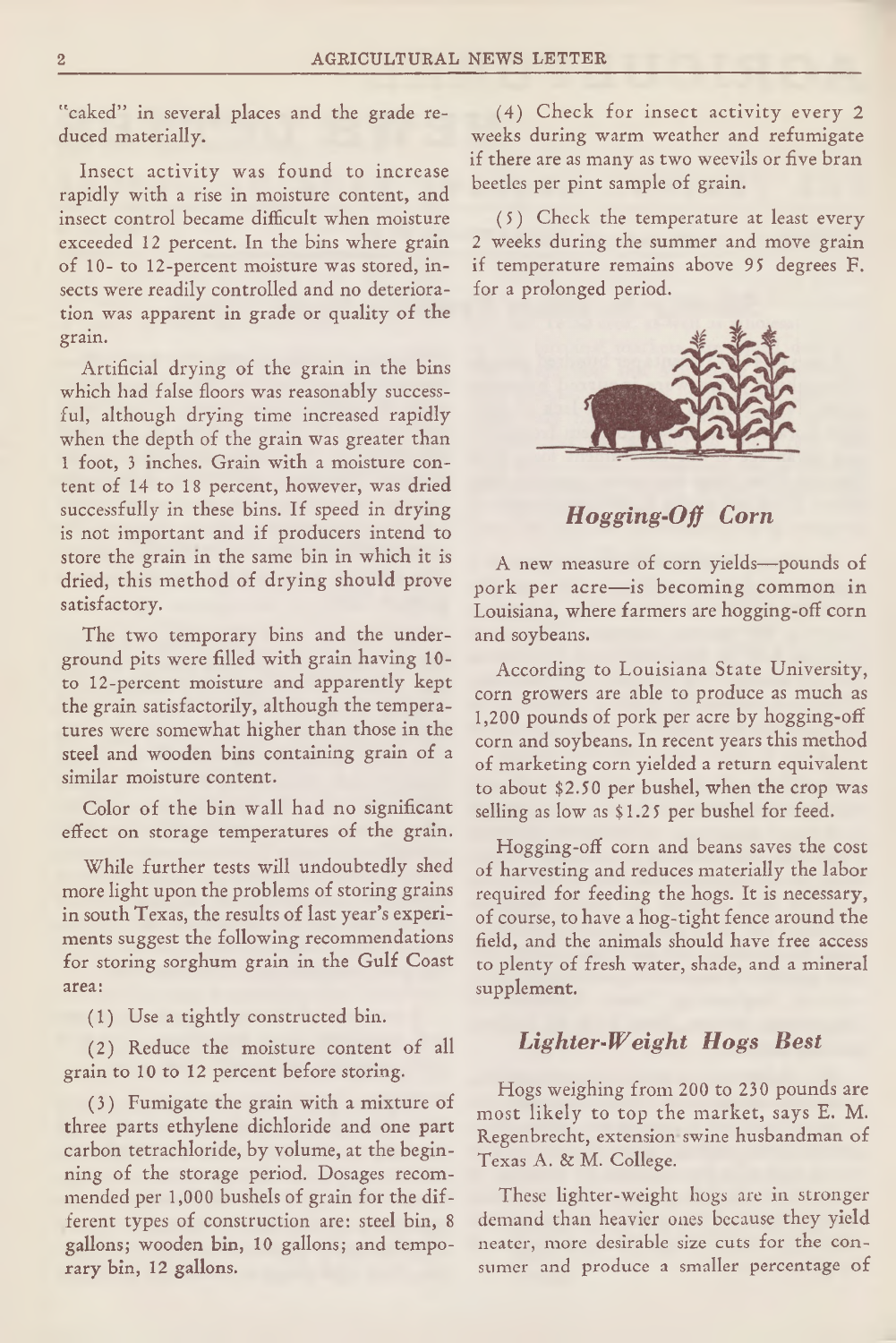"caked" in several places and the grade reduced materially.

Insect activity was found to increase rapidly with a rise in moisture content, and insect control became difficult when moisture exceeded 12 percent. In the bins where grain of 10- to 12-percent moisture was stored, insects were readily controlled and no deterioration was apparent in grade or quality of the grain.

Artificial drying of the grain in the bins which had false floors was reasonably successful, although drying time increased rapidly when the depth of the grain was greater than 1 foot, 3 inches. Grain with a moisture content of 14 to 18 percent, however, was dried successfully in these bins. If speed in drying is not important and if producers intend to store the grain in the same bin in which it is dried, this method of drying should prove satisfactory.

The two temporary bins and the underground pits were filled with grain having 10 to 12-percent moisture and apparently kept the grain satisfactorily, although the temperatures were somewhat higher than those in the steel and wooden bins containing grain of a similar moisture content.

Color of the bin wall had no significant effect on storage temperatures of the grain.

While further tests will undoubtedly shed more light upon the problems of storing grains in south Texas, the results of last year's experiments suggest the following recommendations for storing sorghum grain in the Gulf Coast area:

(1) Use a tightly constructed bin.

(2) Reduce the moisture content of all grain to 10 to 12 percent before storing.

(3) Fumigate the grain with a mixture of three parts ethylene dichloride and one part carbon tetrachloride, by volume, at the beginning of the storage period. Dosages recommended per 1,000 bushels of grain for the different types of construction are: steel bin, 8 gallons; wooden bin, 10 gallons; and temporary bin, 12 gallons.

(4) Check for insect activity every 2 weeks during warm weather and refumigate if there are as many as two weevils or five bran beetles per pint sample of grain.

(5) Check the temperature at least every 2 weeks during the summer and move grain if temperature remains above 95 degrees F. for a prolonged period.



*Hogging-Off Corn*

A new measure of corn yields—pounds of pork per acre—is becoming common in Louisiana, where farmers are hogging-off corn and soybeans.

According to Louisiana State University, corn growers are able to produce as much as 1,200 pounds of pork per acre by hogging-off corn and soybeans. In recent years this method of marketing corn yielded a return equivalent to about \$2.50 per bushel, when the crop was selling as low as \$1.25 per bushel for feed.

Hogging-off corn and beans saves the cost of harvesting and reduces materially the labor required for feeding the hogs. It is necessary, of course, to have a hog-tight fence around the field, and the animals should have free access to plenty of fresh water, shade, and a mineral supplement.

### *Lighter-W eight Hogs Best*

Hogs weighing from 200 to 230 pounds are most likely to top the market, says E. M. Regenbrecht, extension swine husbandman of Texas A. & M. College.

These lighter-weight hogs are in stronger demand than heavier ones because they yield neater, more desirable size cuts for the consumer and produce a smaller percentage of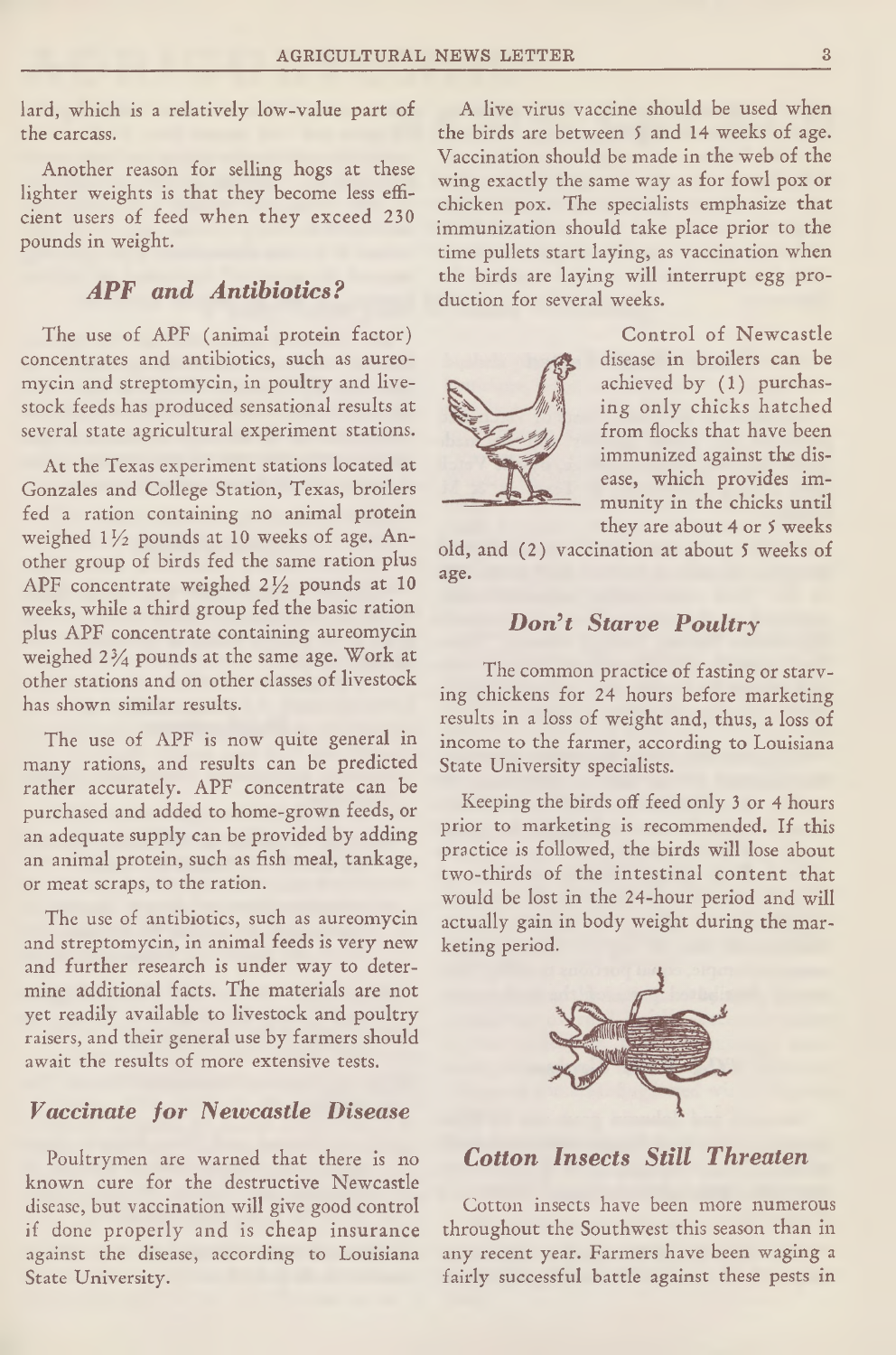lard, which is a relatively low-value part of the carcass.

Another reason for selling hogs at these lighter weights is that they become less efficient users of feed when they exceed 230 pounds in weight.

# *APF and Antibiotics?*

The use of APF (animal protein factor) concentrates and antibiotics, such as aureomycin and streptomycin, in poultry and livestock feeds has produced sensational results at several state agricultural experiment stations.

At the Texas experiment stations located at Gonzales and College Station, Texas, broilers fed a ration containing no animal protein weighed  $1\frac{1}{2}$  pounds at 10 weeks of age. Another group of birds fed the same ration plus APF concentrate weighed  $2\frac{1}{2}$  pounds at 10 weeks, while a third group fed the basic ration plus APF concentrate containing aureomycin weighed 2% pounds at the same age. Work at other stations and on other classes of livestock has shown similar results.

The use of APF is now quite general in many rations, and results can be predicted rather accurately. APF concentrate can be purchased and added to home-grown feeds, or an adequate supply can be provided by adding an animal protein, such as fish meal, tankage, or meat scraps, to the ration.

The use of antibiotics, such as aureomycin and streptomycin, in animal feeds is very new and further research is under way to determine additional facts. The materials are not yet readily available to livestock and poultry raisers, and their general use by farmers should await the results of more extensive tests.

# *Vaccinate for Neivcastle Disease*

Poultrymen are warned that there is no known cure for the destructive Newcastle disease, but vaccination will give good control if done properly and is cheap insurance against the disease, according to Louisiana State University.

A live virus vaccine should be used when the birds are between 5 and 14 weeks of age. Vaccination should be made in the web of the wing exactly the same way as for fowl pox or chicken pox. The specialists emphasize that immunization should take place prior to the time pullets start laying, as vaccination when the birds are laying will interrupt egg production for several weeks.



Control of Newcastle disease in broilers can be achieved by (1) purchasing only chicks hatched from flocks that have been immunized against the disease, which provides immunity in the chicks until they are about 4 or 5 weeks

old, and (2) vaccination at about 5 weeks of age.

#### *D on't Starve Poultry*

The common practice of fasting or starving chickens for 24 hours before marketing results in a loss of weight and, thus, a loss of income to the farmer, according to Louisiana State University specialists.

Keeping the birds off feed only 3 or 4 hours prior to marketing is recommended. If this practice is followed, the birds will lose about two-thirds of the intestinal content that would be lost in the 24-hour period and will actually gain in body weight during the marketing period.



*Cotton Insects Still Threaten*

Cotton insects have been more numerous throughout the Southwest this season than in any recent year. Farmers have been waging a fairly successful battle against these pests in